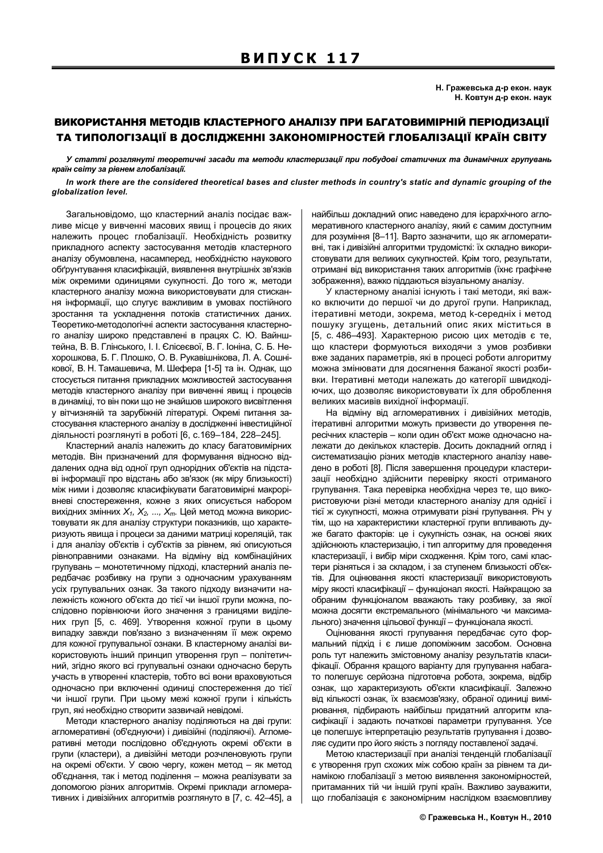## ВИКОРИСТАННЯ МЕТОДІВ КЛАСТЕРНОГО АНАЛІЗУ ПРИ БАГАТОВИМІРНІЙ ПЕРІОДИЗАЦІЇ ТА ТИПОЛОГІЗАЦІЇ В ДОСЛІДЖЕННІ ЗАКОНОМІРНОСТЕЙ ГЛОБАЛІЗАЦІЇ КРАЇН СВІТУ

У статті розглянуті теоретичні засади та методи кластеризації при побудові статичних та динамічних групувань країн світу за рівнем глобалізації.

In work there are the considered theoretical bases and cluster methods in country's static and dynamic grouping of the globalization level.

Загальновідомо, що кластерний аналіз посідає важливе місце у вивченні масових явищ і процесів до яких належить процес глобалізації. Необхідність розвитку прикладного аспекту застосування методів кластерного аналізу обумовлена, насамперед, необхідністю наукового обґрунтування класифікацій, виявлення внутрішніх зв'язків між окремими одиницями сукупності. До того ж, методи кластерного аналізу можна використовувати для стискання інформації, що слугує важливим в умовах постійного зростання та ускладнення потоків статистичних даних. Теоретико-методологічні аспекти застосування кластерного аналізу широко представлені в працях С. Ю. Вайнштейна, В. В. Глінського, І. І. Єлісеєвої, В. Г. Іоніна, С. Б. Нехорошкова, Б. Г. Плошко, О. В. Рукавішнікова, Л. А. Сошнікової, В. Н. Тамашевича, М. Шефера [1-5] та ін. Однак, що стосується питання прикладних можливостей застосування методів кластерного аналізу при вивченні явищ і процесів в динаміці, то він поки що не знайшов широкого висвітлення у вітчизняній та зарубіжній літературі. Окремі питання застосування кластерного аналізу в дослідженні інвестиційної діяльності розглянуті в роботі [6, с.169-184, 228-245].

Кластерний аналіз належить до класу багатовимірних методів. Він призначений для формування відносно віддалених одна від одної груп однорідних об'єктів на підставі інформації про відстань або зв'язок (як міру близькості) між ними і дозволяє класифікувати багатовимірні макрорівневі спостереження, кожне з яких описується набором вихідних змінних  $X_1, X_2, ..., X_m$ . Цей метод можна використовувати як для аналізу структури показників, що характеризують явища і процеси за даними матриці кореляцій, так і для аналізу об'єктів і суб'єктів за рівнем, які описуються рівноправними ознаками. На відміну від комбінаційних групувань - монотетичному підході, кластерний аналіз передбачає розбивку на групи з одночасним урахуванням усіх групувальних ознак. За такого підходу визначити належність кожного об'єкта до тієї чи іншої групи можна, послідовно порівнюючи його значення з границями виділених груп [5, с. 469]. Утворення кожної групи в цьому випадку завжди пов'язано з визначенням її меж окремо для кожної групувальної ознаки. В кластерному аналізі використовують інший принцип утворення груп - політетичний, згідно якого всі групувальні ознаки одночасно беруть участь в утворенні кластерів, тобто всі вони враховуються одночасно при включенні одиниці спостереження до тієї чи іншої групи. При цьому межі кожної групи і кількість груп, які необхідно створити зазвичай невідомі.

Методи кластерного аналізу поділяються на дві групи: агломеративні (об'єднуючи) і дивізійні (поділяючі). Агломеративні методи послідовно об'єднують окремі об'єкти в групи (кластери), а дивізійні методи розчленовують групи на окремі об'єкти. У свою чергу, кожен метод - як метод об'єднання, так і метод поділення - можна реалізувати за допомогою різних алгоритмів. Окремі приклади агломеративних і дивізійних алгоритмів розглянуто в [7, с. 42-45], а

найбільш докладний опис наведено для ієрархічного агломеративного кластерного аналізу, який є самим доступним для розуміння [8-11]. Варто зазначити, що як агломеративні, так і дивізійні алгоритми трудомісткі: їх складно використовувати для великих сукупностей. Крім того, результати, отримані від використання таких алгоритмів (їхнє графічне зображення), важко піддаються візуальному аналізу.

У кластерному аналізі існують і такі методи, які важко включити до першої чи до другої групи. Наприклад, ітеративні методи, зокрема, метод k-середніх і метод пошуку згущень, детальний опис яких міститься в [5, с. 486-493]. Характерною рисою цих методів є те, що кластери формуються виходячи з умов розбивки вже заданих параметрів, які в процесі роботи алгоритму можна змінювати для досягнення бажаної якості розбивки. Ітеративні методи належать до категорії швидкодіючих, що дозволяє використовувати їх для оброблення великих масивів вихідної інформації.

На відміну від агломеративних і дивізійних методів, ітеративні алгоритми можуть призвести до утворення пересічних кластерів - коли один об'єкт може одночасно належати до декількох кластерів. Досить докладний огляд і систематизацію різних методів кластерного аналізу наведено в роботі [8]. Після завершення процедури кластеризації необхідно здійснити перевірку якості отриманого групування. Така перевірка необхідна через те, що використовуючи різні методи кластерного аналізу для однієї і тієї ж сукупності, можна отримувати різні групування. Річ у тім, що на характеристики кластерної групи впливають дуже багато факторів: це і сукупність ознак, на основі яких здійснюють кластеризацію, і тип алгоритму для проведення кластеризації, і вибір міри сходження. Крім того, самі кластери різняться і за складом, і за ступенем близькості об'єктів. Для оцінювання якості кластеризації використовують міру якості класифікації - функціонал якості. Найкращою за обраним функціоналом вважають таку розбивку, за якої можна досягти екстремального (мінімального чи максимального) значення цільової функції - функціонала якості.

Оцінювання якості групування передбачає суто формальний підхід і є лише допоміжним засобом. Основна роль тут належить змістовному аналізу результатів класифікації. Обрання кращого варіанту для групування набагато полегшує серйозна підготовча робота, зокрема, відбір ознак, що характеризують об'єкти класифікації. Залежно від кількості ознак, їх взаємозв'язку, обраної одиниці вимірювання, підбирають найбільш придатний алгоритм класифікації і задають початкові параметри групування. Усе це полегшує інтерпретацію результатів групування і дозволяє судити про його якість з погляду поставленої задачі.

Метою кластеризації при аналізі тенденцій глобалізації є утворення груп схожих між собою країн за рівнем та динамікою глобалізації з метою виявлення закономірностей, притаманних тій чи іншій групі країн. Важливо зауважити, що глобалізація є закономірним наслідком взаємовпливу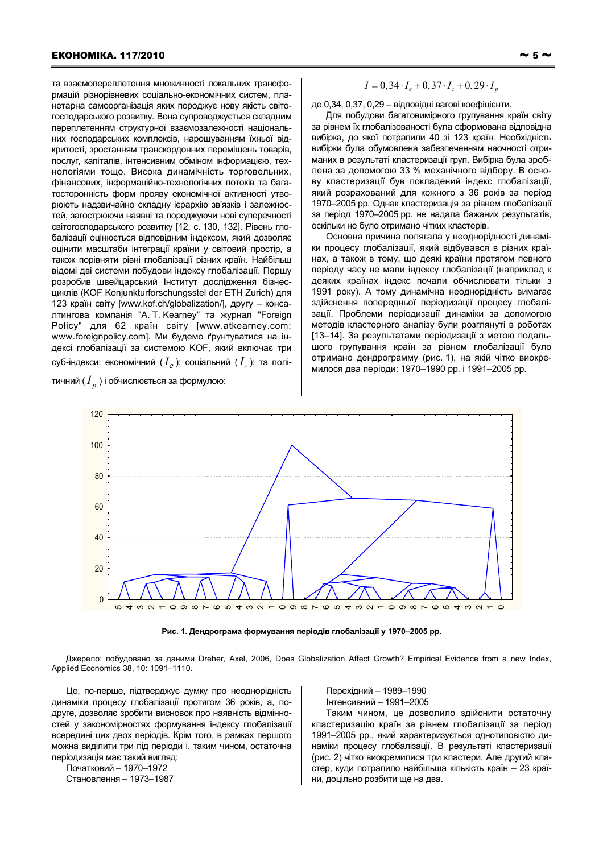та взаємопереплетення множинності локальних трансформацій різнорівневих соціально-економічних систем, планетарна самоорганізація яких породжує нову якість світогосподарського розвитку. Вона супроводжується складним переплетенням структурної взаємозалежності національних господарських комплексів, нарощуванням їхньої відкритості, зростанням транскордонних переміщень товарів, послуг, капіталів, інтенсивним обміном інформацією, технологіями тощо. Висока динамічність торговельних, фінансових, інформаційно-технологічних потоків та багатосторонність форм прояву економічної активності утворюють надзвичайно складну ієрархію зв'язків і залежностей, загострюючи наявні та породжуючи нові суперечності світогосподарського розвитку [12, с. 130, 132]. Рівень глобалізації оцінюється відповідним індексом, який дозволяє оцінити масштаби інтеграції країни у світовий простір, а також порівняти рівні глобалізації різних країн. Найбільш відомі дві системи побудови індексу глобалізації. Першу розробив швейцарський Інститут дослідження бізнесциклів (KOF Konjunkturforschungsstel der ETH Zurich) для 123 країн світу [www.kof.ch/globalization/], другу - консалтингова компанія "A. T. Kearney" та журнал "Foreign Policy" для 62 країн світу [www.atkearney.com; www.foreignpolicy.com]. Ми будемо ґрунтуватися на індексі глобалізації за системою КОГ, який включає три суб-індекси: економічний  $(I_{\rho})$ ; соціальний  $(I_{\rho})$ ; та полі-

тичний ( $I_n$ ) і обчислюється за формулою:

$$
I = 0.34 \cdot I_e + 0.37 \cdot I_c + 0.29 \cdot I_p
$$

де 0,34, 0,37, 0,29 - відповідні вагові коефіцієнти.

Для побудови багатовимірного групування країн світу за рівнем їх глобалізованості була сформована відповідна вибірка, до якої потрапили 40 зі 123 країн. Необхідність вибірки була обумовлена забезпеченням наочності отриманих в результаті кластеризації груп. Вибірка була зроблена за допомогою 33 % механічного відбору. В основу кластеризації був покладений індекс глобалізації, який розрахований для кожного з 36 років за період 1970-2005 рр. Однак кластеризація за рівнем глобалізації за період 1970-2005 рр. не надала бажаних результатів, оскільки не було отримано чітких кластерів.

Основна причина полягала у неоднорідності динаміки процесу глобалізації, який відбувався в різних країнах, а також в тому, що деякі країни протягом певного періоду часу не мали індексу глобалізації (наприклад к деяких країнах індекс почали обчислювати тільки з 1991 року). А тому динамічна неоднорідність вимагає здійснення попередньої періодизації процесу глобалізації. Проблеми періодизації динаміки за допомогою методів кластерного аналізу були розглянуті в роботах [13-14]. За результатами періодизації з метою подальшого групування країн за рівнем глобалізації було отримано дендрограмму (рис. 1), на якій чітко виокремилося два періоди: 1970-1990 рр. і 1991-2005 рр.



Рис. 1. Дендрограма формування періодів глобалізації у 1970-2005 рр.

Джерело: побудовано за даними Dreher, Axel, 2006, Does Globalization Affect Growth? Empirical Evidence from a new Index, Applied Economics 38, 10: 1091-1110.

Це, по-перше, підтверджує думку про неоднорідність динаміки процесу глобалізації протягом 36 років, а, подруге, дозволяє зробити висновок про наявність відмінностей у закономірностях формування індексу глобалізації всередині цих двох періодів. Крім того, в рамках першого можна виділити три під періоди і, таким чином, остаточна періодизація має такий вигляд:

Початковий - 1970-1972 Становлення - 1973-1987 Перехідний - 1989-1990 Інтенсивний - 1991-2005

Таким чином, це дозволило здійснити остаточну кластеризацію країн за рівнем глобалізації за період 1991-2005 рр., який характеризується однотиповістю динаміки процесу глобалізації. В результаті кластеризації (рис. 2) чітко виокремилися три кластери. Але другий кластер, куди потрапило найбільша кількість країн - 23 країни, доцільно розбити ще на два.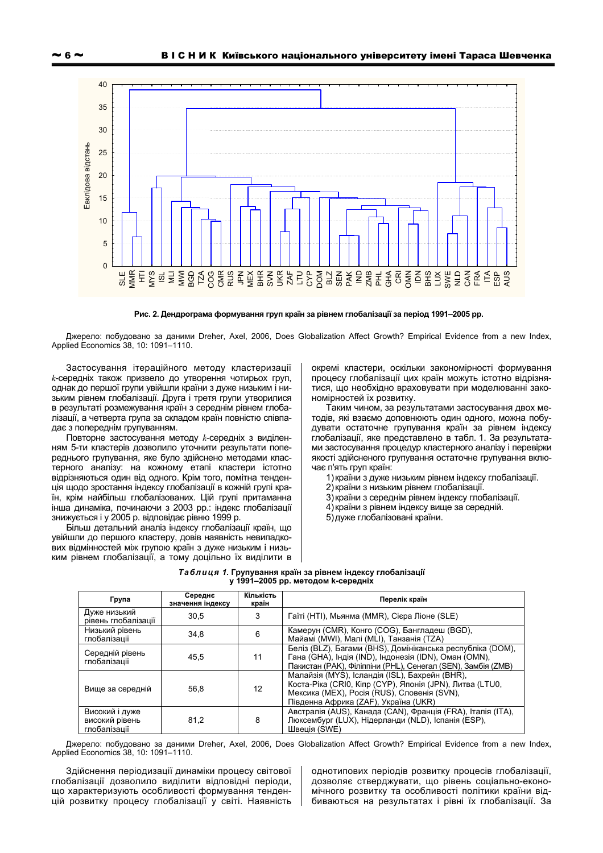

Рис. 2. Дендрограма формування груп країн за рівнем глобалізації за період 1991-2005 рр.

Джерело: побудовано за даними Dreher, Axel, 2006, Does Globalization Affect Growth? Empirical Evidence from a new Index, Applied Economics 38, 10: 1091-1110.

Застосування ітераційного методу кластеризації к-середніх також призвело до утворення чотирьох груп, однак до першої групи увійшли країни з дуже низьким і низьким рівнем глобалізації. Друга і третя групи утворилися в результаті розмежування країн з середнім рівнем глобалізації, а четверта група за складом країн повністю співпадає з попереднім групуванням.

Повторне застосування методу k-середніх з виділенням 5-ти кластерів дозволило уточнити результати попереднього групування, яке було здійснено методами кластерного аналізу: на кожному етапі кластери істотно відрізняються один від одного. Крім того, помітна тенденція щодо зростання індексу глобалізації в кожній групі країн, крім найбільш глобалізованих. Цій групі притаманна інша динаміка, починаючи з 2003 рр.: індекс глобалізації знижується і у 2005 р. відповідає рівню 1999 р.

Більш детальний аналіз індексу глобалізації країн, що увійшли до першого кластеру, довів наявність невипадкових відмінностей між групою країн з дуже низьким і низьким рівнем глобалізації, а тому доцільно їх виділити в окремі кластери, оскільки закономірності формування процесу глобалізації цих країн можуть істотно відрізнятися, що необхідно враховувати при моделюванні закономірностей їх розвитку.

Таким чином, за результатами застосування двох методів, які взаємо доповнюють один одного, можна побудувати остаточне групування країн за рівнем індексу глобалізації, яке представлено в табл. 1. За результатами застосування процедур кластерного аналізу і перевірки якості здійсненого групування остаточне групування включає п'ять груп країн:

1) країни з дуже низьким рівнем індексу глобалізації.

- 2) країни з низьким рівнем глобалізації.
- 3) країни з середнім рівнем індексу глобалізації.
- 4) країни з рівнем індексу вище за середній.
- 5) дуже глобалізовані країни.

| <i>Таблиця 1.</i> Групування країн за рівнем індексу глобалізації |  |
|-------------------------------------------------------------------|--|
| у 1991–2005 рр. методом к-середніх                                |  |

| Група                                            | Середнє<br>значення індексу | Кількість<br>країн | Перелік країн                                                                                                                                                                                     |
|--------------------------------------------------|-----------------------------|--------------------|---------------------------------------------------------------------------------------------------------------------------------------------------------------------------------------------------|
| Дуже низький<br>рівень глобалізації              | 30.5                        | 3                  | Гаїті (HTI), Мьянма (MMR), Сієра Ліоне (SLE)                                                                                                                                                      |
| Низький рівень<br>глобалізації                   | 34,8                        | 6                  | Камерун (СМR), Конго (СОG), Бангладеш (BGD),<br>Майамі (MWI), Малі (MLI), Танзанія (TZA)                                                                                                          |
| Середній рівень<br>глобалізації                  | 45.5                        | 11                 | Беліз (BLZ), Багами (BHS), Домініканська республіка (DOM),<br>Гана (GHA), Індія (IND), Індонезія (IDN), Оман (OMN),<br>Пакистан (РАК), Філіппіни (РНL), Сенегал (SEN), Замбія (ZMB)               |
| Вище за середній                                 | 56,8                        | 12                 | Малайзія (MYS), Ісландія (ISL), Бахрейн (BHR),<br>Коста-Ріка (CRI0, Кіпр (СҮР), Японія (JPN), Литва (LTU0,<br>Мексика (MEX), Росія (RUS), Словенія (SVN),<br>Південна Африка (ZAF), Україна (UKR) |
| Високий і дуже<br>високий рівень<br>глобалізації | 81,2                        | 8                  | Австралія (AUS), Канада (CAN), Франція (FRA), Італія (ITA),<br>Люксембург (LUX), Нідерланди (NLD), Іспанія (ESP),<br>Швеція (SWE)                                                                 |

Джерело: побудовано за даними Dreher, Axel, 2006, Does Globalization Affect Growth? Empirical Evidence from a new Index, Applied Economics 38, 10: 1091-1110.

Здійснення періодизації динаміки процесу світової глобалізації дозволило виділити відповідні періоди, що характеризують особливості формування тенденцій розвитку процесу глобалізації у світі. Наявність

однотипових періодів розвитку процесів глобалізації. дозволяє стверджувати, що рівень соціально-економічного розвитку та особливості політики країни відбиваються на результатах і рівні їх глобалізації. За